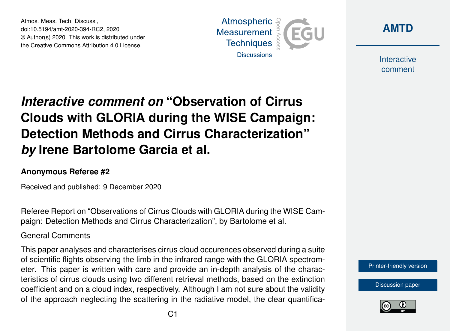Atmos. Meas. Tech. Discuss., doi:10.5194/amt-2020-394-RC2, 2020 © Author(s) 2020. This work is distributed under the Creative Commons Attribution 4.0 License.





**Interactive** comment

# *Interactive comment on* **"Observation of Cirrus Clouds with GLORIA during the WISE Campaign: Detection Methods and Cirrus Characterization"** *by* **Irene Bartolome Garcia et al.**

### **Anonymous Referee #2**

Received and published: 9 December 2020

Referee Report on "Observations of Cirrus Clouds with GLORIA during the WISE Campaign: Detection Methods and Cirrus Characterization", by Bartolome et al.

### General Comments

This paper analyses and characterises cirrus cloud occurences observed during a suite of scientific flights observing the limb in the infrared range with the GLORIA spectrometer. This paper is written with care and provide an in-depth analysis of the characteristics of cirrus clouds using two different retrieval methods, based on the extinction coefficient and on a cloud index, respectively. Although I am not sure about the validity of the approach neglecting the scattering in the radiative model, the clear quantifica-

[Printer-friendly version](https://amt.copernicus.org/preprints/amt-2020-394/amt-2020-394-RC2-print.pdf)

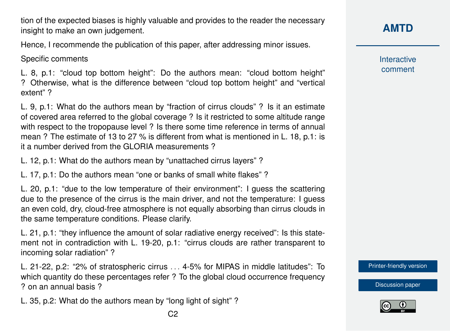tion of the expected biases is highly valuable and provides to the reader the necessary insight to make an own judgement.

Hence, I recommende the publication of this paper, after addressing minor issues.

Specific comments

L. 8, p.1: "cloud top bottom height": Do the authors mean: "cloud bottom height" ? Otherwise, what is the difference between "cloud top bottom height" and "vertical extent" ?

L. 9, p.1: What do the authors mean by "fraction of cirrus clouds" ? Is it an estimate of covered area referred to the global coverage ? Is it restricted to some altitude range with respect to the tropopause level ? Is there some time reference in terms of annual mean ? The estimate of 13 to 27 % is different from what is mentioned in L. 18, p.1: is it a number derived from the GLORIA measurements ?

L. 12, p.1: What do the authors mean by "unattached cirrus layers" ?

L. 17, p.1: Do the authors mean "one or banks of small white flakes" ?

L. 20, p.1: "due to the low temperature of their environment": I guess the scattering due to the presence of the cirrus is the main driver, and not the temperature: I guess an even cold, dry, cloud-free atmosphere is not equally absorbing than cirrus clouds in the same temperature conditions. Please clarify.

L. 21, p.1: "they influence the amount of solar radiative energy received": Is this statement not in contradiction with L. 19-20, p.1: "cirrus clouds are rather transparent to incoming solar radiation" ?

L. 21-22, p.2: "2% of stratospheric cirrus . . . 4-5% for MIPAS in middle latitudes": To which quantity do these percentages refer ? To the global cloud occurrence frequency ? on an annual basis ?

L. 35, p.2: What do the authors mean by "long light of sight" ?

**Interactive** comment

[Printer-friendly version](https://amt.copernicus.org/preprints/amt-2020-394/amt-2020-394-RC2-print.pdf)

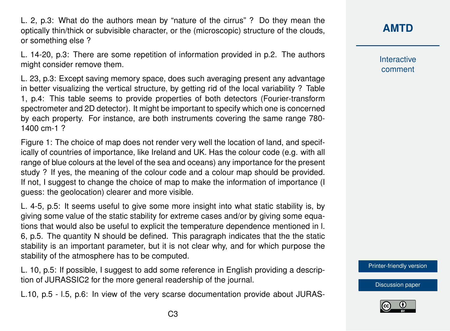L. 2, p.3: What do the authors mean by "nature of the cirrus" ? Do they mean the optically thin/thick or subvisible character, or the (microscopic) structure of the clouds, or something else ?

L. 14-20, p.3: There are some repetition of information provided in p.2. The authors might consider remove them.

L. 23, p.3: Except saving memory space, does such averaging present any advantage in better visualizing the vertical structure, by getting rid of the local variability ? Table 1, p.4: This table seems to provide properties of both detectors (Fourier-transform spectrometer and 2D detector). It might be important to specify which one is concerned by each property. For instance, are both instruments covering the same range 780- 1400 cm-1 ?

Figure 1: The choice of map does not render very well the location of land, and specifically of countries of importance, like Ireland and UK. Has the colour code (e.g. with all range of blue colours at the level of the sea and oceans) any importance for the present study ? If yes, the meaning of the colour code and a colour map should be provided. If not, I suggest to change the choice of map to make the information of importance (I guess: the geolocation) clearer and more visible.

L. 4-5, p.5: It seems useful to give some more insight into what static stability is, by giving some value of the static stability for extreme cases and/or by giving some equations that would also be useful to explicit the temperature dependence mentioned in l. 6, p.5. The quantity N should be defined. This paragraph indicates that the the static stability is an important parameter, but it is not clear why, and for which purpose the stability of the atmosphere has to be computed.

L. 10, p.5: If possible, I suggest to add some reference in English providing a description of JURASSIC2 for the more general readership of the journal.

L.10, p.5 - l.5, p.6: In view of the very scarse documentation provide about JURAS-

## **[AMTD](https://amt.copernicus.org/preprints/)**

**Interactive** comment

[Printer-friendly version](https://amt.copernicus.org/preprints/amt-2020-394/amt-2020-394-RC2-print.pdf)

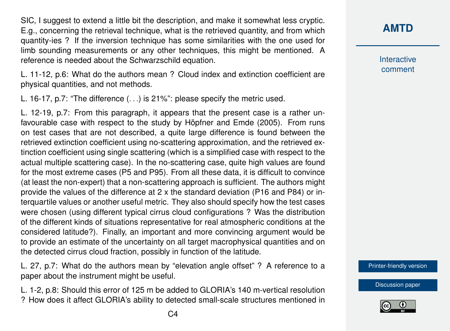SIC, I suggest to extend a little bit the description, and make it somewhat less cryptic. E.g., concerning the retrieval technique, what is the retrieved quantity, and from which quantity-ies ? If the inversion technique has some similarities with the one used for limb sounding measurements or any other techniques, this might be mentioned. A reference is needed about the Schwarzschild equation.

L. 11-12, p.6: What do the authors mean ? Cloud index and extinction coefficient are physical quantities, and not methods.

L. 16-17, p.7: "The difference (. . .) is 21%": please specify the metric used.

L. 12-19, p.7: From this paragraph, it appears that the present case is a rather unfavourable case with respect to the study by Höpfner and Emde (2005). From runs on test cases that are not described, a quite large difference is found between the retrieved extinction coefficient using no-scattering approximation, and the retrieved extinction coefficient using single scattering (which is a simplified case with respect to the actual multiple scattering case). In the no-scattering case, quite high values are found for the most extreme cases (P5 and P95). From all these data, it is difficult to convince (at least the non-expert) that a non-scattering approach is sufficient. The authors might provide the values of the difference at 2 x the standard deviation (P16 and P84) or interquartile values or another useful metric. They also should specify how the test cases were chosen (using different typical cirrus cloud configurations ? Was the distribution of the different kinds of situations representative for real atmospheric conditions at the considered latitude?). Finally, an important and more convincing argument would be to provide an estimate of the uncertainty on all target macrophysical quantities and on the detected cirrus cloud fraction, possibly in function of the latitude.

L. 27, p.7: What do the authors mean by "elevation angle offset" ? A reference to a paper about the instrument might be useful.

L. 1-2, p.8: Should this error of 125 m be added to GLORIA's 140 m-vertical resolution ? How does it affect GLORIA's ability to detected small-scale structures mentioned in **[AMTD](https://amt.copernicus.org/preprints/)**

**Interactive** comment

[Printer-friendly version](https://amt.copernicus.org/preprints/amt-2020-394/amt-2020-394-RC2-print.pdf)

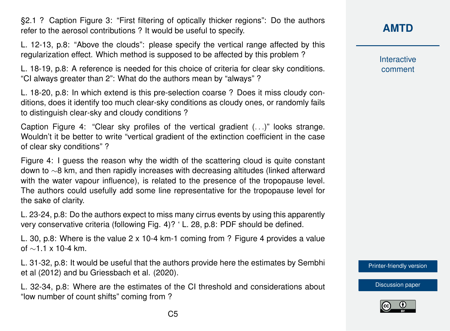§2.1 ? Caption Figure 3: "First filtering of optically thicker regions": Do the authors refer to the aerosol contributions ? It would be useful to specify.

L. 12-13, p.8: "Above the clouds": please specify the vertical range affected by this regularization effect. Which method is supposed to be affected by this problem ?

L. 18-19, p.8: A reference is needed for this choice of criteria for clear sky conditions. "CI always greater than 2": What do the authors mean by "always" ?

L. 18-20, p.8: In which extend is this pre-selection coarse ? Does it miss cloudy conditions, does it identify too much clear-sky conditions as cloudy ones, or randomly fails to distinguish clear-sky and cloudy conditions ?

Caption Figure 4: "Clear sky profiles of the vertical gradient (. . .)" looks strange. Wouldn't it be better to write "vertical gradient of the extinction coefficient in the case of clear sky conditions" ?

Figure 4: I guess the reason why the width of the scattering cloud is quite constant down to ∼8 km, and then rapidly increases with decreasing altitudes (linked afterward with the water vapour influence), is related to the presence of the tropopause level. The authors could usefully add some line representative for the tropopause level for the sake of clarity.

L. 23-24, p.8: Do the authors expect to miss many cirrus events by using this apparently very conservative criteria (following Fig. 4)? ' L. 28, p.8: PDF should be defined.

L. 30, p.8: Where is the value 2 x 10-4 km-1 coming from ? Figure 4 provides a value of ∼1.1 x 10-4 km.

L. 31-32, p.8: It would be useful that the authors provide here the estimates by Sembhi et al (2012) and bu Griessbach et al. (2020).

L. 32-34, p.8: Where are the estimates of the CI threshold and considerations about "low number of count shifts" coming from ?

# **[AMTD](https://amt.copernicus.org/preprints/)**

**Interactive** comment

[Printer-friendly version](https://amt.copernicus.org/preprints/amt-2020-394/amt-2020-394-RC2-print.pdf)

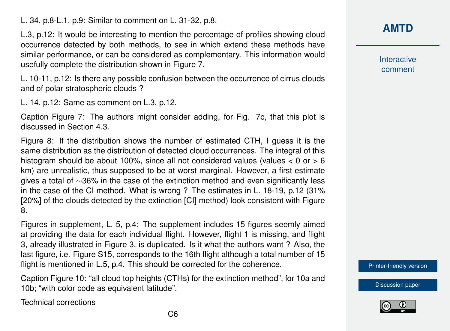L. 34, p.8-L.1, p.9: Similar to comment on L. 31-32, p.8.

L.3, p.12: It would be interesting to mention the percentage of profiles showing cloud occurrence detected by both methods, to see in which extend these methods have similar performance, or can be considered as complementary. This information would usefully complete the distribution shown in Figure 7.

L. 10-11, p.12: Is there any possible confusion between the occurrence of cirrus clouds and of polar stratospheric clouds ?

L. 14, p.12: Same as comment on L.3, p.12.

Caption Figure 7: The authors might consider adding, for Fig. 7c, that this plot is discussed in Section 4.3.

Figure 8: If the distribution shows the number of estimated CTH, I guess it is the same distribution as the distribution of detected cloud occurrences. The integral of this histogram should be about 100%, since all not considered values (values  $< 0$  or  $> 6$ km) are unrealistic, thus supposed to be at worst marginal. However, a first estimate gives a total of ∼36% in the case of the extinction method and even significantly less in the case of the CI method. What is wrong ? The estimates in L. 18-19, p.12 (31% [20%] of the clouds detected by the extinction [CI] method) look consistent with Figure 8.

Figures in supplement, L. 5, p.4: The supplement includes 15 figures seemly aimed at providing the data for each individual flight. However, flight 1 is missing, and flight 3, already illustrated in Figure 3, is duplicated. Is it what the authors want ? Also, the last figure, i.e. Figure S15, corresponds to the 16th flight although a total number of 15 flight is mentioned in L.5, p.4. This should be corrected for the coherence.

Caption Figure 10: "all cloud top heights (CTHs) for the extinction method", for 10a and 10b; "with color code as equivalent latitude".

Technical corrections

**Interactive** comment

[Printer-friendly version](https://amt.copernicus.org/preprints/amt-2020-394/amt-2020-394-RC2-print.pdf)